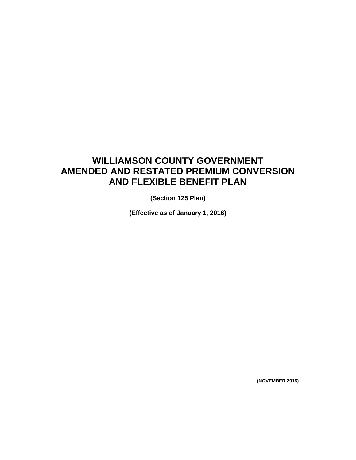# **WILLIAMSON COUNTY GOVERNMENT AMENDED AND RESTATED PREMIUM CONVERSION AND FLEXIBLE BENEFIT PLAN**

**(Section 125 Plan)**

**(Effective as of January 1, 2016)**

**(NOVEMBER 2015)**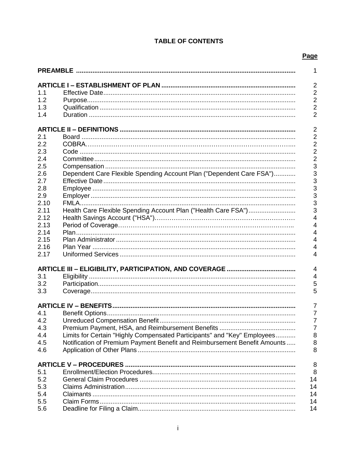## **TABLE OF CONTENTS**

## Page

| 1              |                                                                           |                |  |  |  |  |
|----------------|---------------------------------------------------------------------------|----------------|--|--|--|--|
| $\overline{2}$ |                                                                           |                |  |  |  |  |
| 1.1            |                                                                           | $\overline{2}$ |  |  |  |  |
| 1.2            |                                                                           | $\overline{2}$ |  |  |  |  |
| 1.3            |                                                                           | $\overline{2}$ |  |  |  |  |
| 1.4            |                                                                           | $\overline{2}$ |  |  |  |  |
|                |                                                                           |                |  |  |  |  |
| $\overline{2}$ |                                                                           |                |  |  |  |  |
| 2.1            |                                                                           | $\overline{2}$ |  |  |  |  |
| 2.2            |                                                                           | $\overline{2}$ |  |  |  |  |
| 2.3            |                                                                           | $\overline{2}$ |  |  |  |  |
| 2.4            |                                                                           | $\overline{2}$ |  |  |  |  |
| 2.5            |                                                                           | $\overline{3}$ |  |  |  |  |
| 2.6            | Dependent Care Flexible Spending Account Plan ("Dependent Care FSA")      | $\overline{3}$ |  |  |  |  |
| 2.7            |                                                                           | 3              |  |  |  |  |
|                |                                                                           |                |  |  |  |  |
| 2.8            |                                                                           | 3              |  |  |  |  |
| 2.9            |                                                                           | 3              |  |  |  |  |
| 2.10           |                                                                           | 3              |  |  |  |  |
| 2.11           | Health Care Flexible Spending Account Plan ("Health Care FSA")            | 3              |  |  |  |  |
| 2.12           |                                                                           | 4              |  |  |  |  |
| 2.13           |                                                                           | 4              |  |  |  |  |
| 2.14           |                                                                           | 4              |  |  |  |  |
| 2.15           |                                                                           | 4              |  |  |  |  |
| 2.16           |                                                                           | 4              |  |  |  |  |
| 2.17           |                                                                           | 4              |  |  |  |  |
|                |                                                                           |                |  |  |  |  |
|                |                                                                           | $\overline{4}$ |  |  |  |  |
| 3.1            |                                                                           | $\overline{4}$ |  |  |  |  |
| 3.2            |                                                                           | 5              |  |  |  |  |
| 3.3            |                                                                           | 5              |  |  |  |  |
|                |                                                                           | $\overline{7}$ |  |  |  |  |
|                |                                                                           | $\overline{7}$ |  |  |  |  |
| 4.1            |                                                                           |                |  |  |  |  |
| 4.2            |                                                                           | $\overline{7}$ |  |  |  |  |
| 4.3            |                                                                           | $\overline{7}$ |  |  |  |  |
| 4.4            | Limits for Certain "Highly Compensated Participants" and "Key" Employees  | 8              |  |  |  |  |
| 4.5            | Notification of Premium Payment Benefit and Reimbursement Benefit Amounts | 8              |  |  |  |  |
| 4.6            |                                                                           | 8              |  |  |  |  |
|                |                                                                           | 8              |  |  |  |  |
| 5.1            |                                                                           | 8              |  |  |  |  |
|                |                                                                           |                |  |  |  |  |
| 5.2            |                                                                           | 14             |  |  |  |  |
| 5.3            |                                                                           | 14             |  |  |  |  |
| 5.4            |                                                                           | 14             |  |  |  |  |
| 5.5            |                                                                           | 14             |  |  |  |  |
| 5.6            |                                                                           | 14             |  |  |  |  |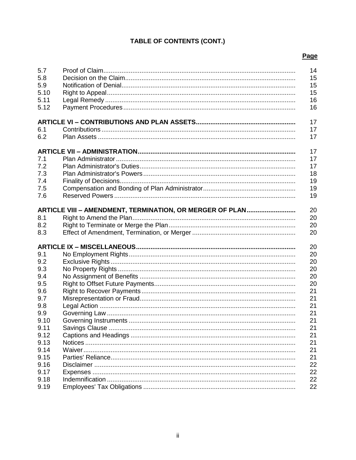# **TABLE OF CONTENTS (CONT.)**

# Page

| 5.7<br>5.8<br>5.9<br>5.10<br>5.11<br>5.12 |                                                          | 14<br>15<br>15<br>15<br>16<br>16 |
|-------------------------------------------|----------------------------------------------------------|----------------------------------|
|                                           |                                                          | 17                               |
| 6.1                                       |                                                          | 17                               |
| 6.2                                       |                                                          | 17                               |
| 7.1                                       |                                                          | 17<br>17                         |
| 7.2                                       |                                                          | 17                               |
| 7.3                                       |                                                          | 18                               |
| 7.4                                       |                                                          | 19                               |
| 7.5                                       |                                                          | 19                               |
| 7.6                                       |                                                          | 19                               |
|                                           | ARTICLE VIII - AMENDMENT, TERMINATION, OR MERGER OF PLAN | 20                               |
| 8.1                                       |                                                          | 20                               |
| 8.2                                       |                                                          | 20                               |
| 8.3                                       |                                                          | 20                               |
|                                           |                                                          | 20                               |
| 9.1                                       |                                                          | 20                               |
| 9.2                                       |                                                          | 20                               |
| 9.3                                       |                                                          | 20                               |
| 9.4                                       |                                                          | 20                               |
| 9.5                                       |                                                          | 20                               |
| 9.6                                       |                                                          | 21                               |
| 9.7                                       |                                                          | 21                               |
| 9.8                                       |                                                          | 21                               |
| 9.9                                       |                                                          | 21                               |
| 9.10                                      |                                                          | 21                               |
| 9.11                                      |                                                          | 21                               |
| 9.12                                      |                                                          | 21                               |
| 9.13                                      |                                                          | 21                               |
| 9.14                                      |                                                          | 21                               |
| 9.15                                      |                                                          | 21                               |
| 9.16                                      |                                                          | 22                               |
| 9.17                                      |                                                          | 22                               |
| 9.18                                      |                                                          | 22                               |
| 9.19                                      |                                                          | 22                               |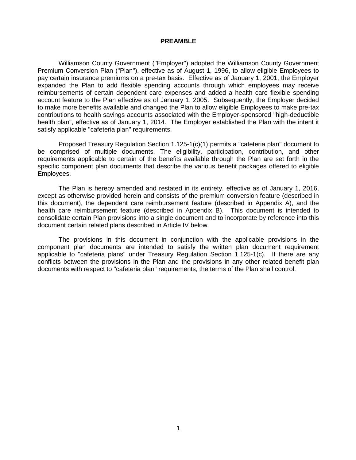#### **PREAMBLE**

Williamson County Government ("Employer") adopted the Williamson County Government Premium Conversion Plan ("Plan"), effective as of August 1, 1996, to allow eligible Employees to pay certain insurance premiums on a pre-tax basis. Effective as of January 1, 2001, the Employer expanded the Plan to add flexible spending accounts through which employees may receive reimbursements of certain dependent care expenses and added a health care flexible spending account feature to the Plan effective as of January 1, 2005. Subsequently, the Employer decided to make more benefits available and changed the Plan to allow eligible Employees to make pre-tax contributions to health savings accounts associated with the Employer-sponsored "high-deductible health plan", effective as of January 1, 2014. The Employer established the Plan with the intent it satisfy applicable "cafeteria plan" requirements.

Proposed Treasury Regulation Section 1.125-1(c)(1) permits a "cafeteria plan" document to be comprised of multiple documents. The eligibility, participation, contribution, and other requirements applicable to certain of the benefits available through the Plan are set forth in the specific component plan documents that describe the various benefit packages offered to eligible Employees.

The Plan is hereby amended and restated in its entirety, effective as of January 1, 2016, except as otherwise provided herein and consists of the premium conversion feature (described in this document), the dependent care reimbursement feature (described in Appendix A), and the health care reimbursement feature (described in Appendix B). This document is intended to consolidate certain Plan provisions into a single document and to incorporate by reference into this document certain related plans described in Article IV below.

The provisions in this document in conjunction with the applicable provisions in the component plan documents are intended to satisfy the written plan document requirement applicable to "cafeteria plans" under Treasury Regulation Section 1.125-1(c). If there are any conflicts between the provisions in the Plan and the provisions in any other related benefit plan documents with respect to "cafeteria plan" requirements, the terms of the Plan shall control.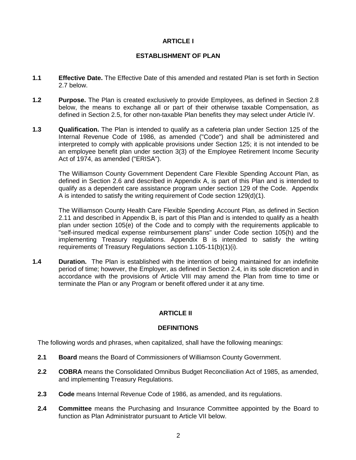### **ARTICLE I**

#### **ESTABLISHMENT OF PLAN**

- **1.1 Effective Date.** The Effective Date of this amended and restated Plan is set forth in Section 2.7 below.
- **1.2 Purpose.** The Plan is created exclusively to provide Employees, as defined in Section 2.8 below, the means to exchange all or part of their otherwise taxable Compensation, as defined in Section 2.5, for other non-taxable Plan benefits they may select under Article IV.
- **1.3 Qualification.** The Plan is intended to qualify as a cafeteria plan under Section 125 of the Internal Revenue Code of 1986, as amended ("Code") and shall be administered and interpreted to comply with applicable provisions under Section 125; it is not intended to be an employee benefit plan under section 3(3) of the Employee Retirement Income Security Act of 1974, as amended ("ERISA").

The Williamson County Government Dependent Care Flexible Spending Account Plan, as defined in Section 2.6 and described in Appendix A, is part of this Plan and is intended to qualify as a dependent care assistance program under section 129 of the Code. Appendix A is intended to satisfy the writing requirement of Code section 129(d)(1).

The Williamson County Health Care Flexible Spending Account Plan, as defined in Section 2.11 and described in Appendix B, is part of this Plan and is intended to qualify as a health plan under section 105(e) of the Code and to comply with the requirements applicable to "self-insured medical expense reimbursement plans" under Code section 105(h) and the implementing Treasury regulations. Appendix B is intended to satisfy the writing requirements of Treasury Regulations section 1.105-11(b)(1)(i).

**1.4 Duration.** The Plan is established with the intention of being maintained for an indefinite period of time; however, the Employer, as defined in Section 2.4, in its sole discretion and in accordance with the provisions of Article VIII may amend the Plan from time to time or terminate the Plan or any Program or benefit offered under it at any time.

### **ARTICLE II**

#### **DEFINITIONS**

The following words and phrases, when capitalized, shall have the following meanings:

- **2.1 Board** means the Board of Commissioners of Williamson County Government.
- **2.2 COBRA** means the Consolidated Omnibus Budget Reconciliation Act of 1985, as amended, and implementing Treasury Regulations.
- **2.3 Code** means Internal Revenue Code of 1986, as amended, and its regulations.
- **2.4 Committee** means the Purchasing and Insurance Committee appointed by the Board to function as Plan Administrator pursuant to Article VII below.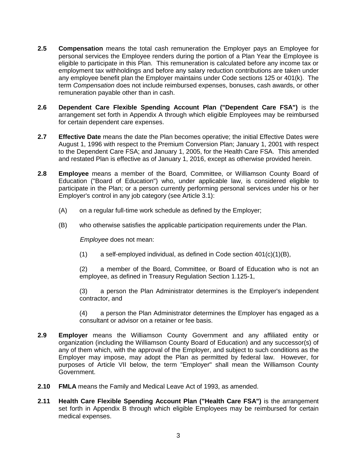- **2.5 Compensation** means the total cash remuneration the Employer pays an Employee for personal services the Employee renders during the portion of a Plan Year the Employee is eligible to participate in this Plan. This remuneration is calculated before any income tax or employment tax withholdings and before any salary reduction contributions are taken under any employee benefit plan the Employer maintains under Code sections 125 or 401(k). The term *Compensation* does not include reimbursed expenses, bonuses, cash awards, or other remuneration payable other than in cash.
- **2.6 Dependent Care Flexible Spending Account Plan ("Dependent Care FSA")** is the arrangement set forth in Appendix A through which eligible Employees may be reimbursed for certain dependent care expenses.
- **2.7 Effective Date** means the date the Plan becomes operative; the initial Effective Dates were August 1, 1996 with respect to the Premium Conversion Plan; January 1, 2001 with respect to the Dependent Care FSA; and January 1, 2005, for the Health Care FSA. This amended and restated Plan is effective as of January 1, 2016, except as otherwise provided herein.
- **2.8 Employee** means a member of the Board, Committee, or Williamson County Board of Education ("Board of Education") who, under applicable law, is considered eligible to participate in the Plan; or a person currently performing personal services under his or her Employer's control in any job category (see Article 3.1):
	- (A) on a regular full-time work schedule as defined by the Employer;
	- (B) who otherwise satisfies the applicable participation requirements under the Plan.

 *Employee* does not mean:

(1) a self-employed individual, as defined in Code section 401(c)(1)(B),

(2) a member of the Board, Committee, or Board of Education who is not an employee, as defined in Treasury Regulation Section 1.125-1,

(3) a person the Plan Administrator determines is the Employer's independent contractor, and

(4) a person the Plan Administrator determines the Employer has engaged as a consultant or advisor on a retainer or fee basis.

- **2.9 Employer** means the Williamson County Government and any affiliated entity or organization (including the Williamson County Board of Education) and any successor(s) of any of them which, with the approval of the Employer, and subject to such conditions as the Employer may impose, may adopt the Plan as permitted by federal law. However, for purposes of Article VII below, the term "Employer" shall mean the Williamson County Government.
- **2.10 FMLA** means the Family and Medical Leave Act of 1993, as amended.
- **2.11 Health Care Flexible Spending Account Plan ("Health Care FSA")** is the arrangement set forth in Appendix B through which eligible Employees may be reimbursed for certain medical expenses.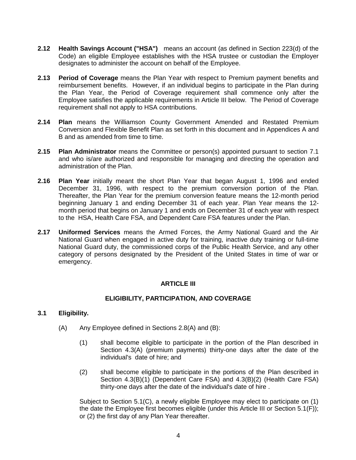- **2.12 Health Savings Account ("HSA")** means an account (as defined in Section 223(d) of the Code) an eligible Employee establishes with the HSA trustee or custodian the Employer designates to administer the account on behalf of the Employee.
- **2.13 Period of Coverage** means the Plan Year with respect to Premium payment benefits and reimbursement benefits. However, if an individual begins to participate in the Plan during the Plan Year, the Period of Coverage requirement shall commence only after the Employee satisfies the applicable requirements in Article III below. The Period of Coverage requirement shall not apply to HSA contributions.
- **2.14 Plan** means the Williamson County Government Amended and Restated Premium Conversion and Flexible Benefit Plan as set forth in this document and in Appendices A and B and as amended from time to time.
- **2.15 Plan Administrator** means the Committee or person(s) appointed pursuant to section 7.1 and who is/are authorized and responsible for managing and directing the operation and administration of the Plan.
- **2.16 Plan Year** initially meant the short Plan Year that began August 1, 1996 and ended December 31, 1996, with respect to the premium conversion portion of the Plan. Thereafter, the Plan Year for the premium conversion feature means the 12-month period beginning January 1 and ending December 31 of each year. Plan Year means the 12 month period that begins on January 1 and ends on December 31 of each year with respect to the HSA, Health Care FSA, and Dependent Care FSA features under the Plan.
- **2.17 Uniformed Services** means the Armed Forces, the Army National Guard and the Air National Guard when engaged in active duty for training, inactive duty training or full-time National Guard duty, the commissioned corps of the Public Health Service, and any other category of persons designated by the President of the United States in time of war or emergency.

#### **ARTICLE III**

### **ELIGIBILITY, PARTICIPATION, AND COVERAGE**

#### **3.1 Eligibility.**

- $(A)$  Any Employee defined in Sections 2.8(A) and (B):
	- (1) shall become eligible to participate in the portion of the Plan described in Section 4.3(A) (premium payments) thirty-one days after the date of the individual's date of hire; and
	- (2) shall become eligible to participate in the portions of the Plan described in Section 4.3(B)(1) (Dependent Care FSA) and 4.3(B)(2) (Health Care FSA) thirty-one days after the date of the individual's date of hire .

Subject to Section 5.1(C), a newly eligible Employee may elect to participate on (1) the date the Employee first becomes eligible (under this Article III or Section 5.1(F)); or (2) the first day of any Plan Year thereafter.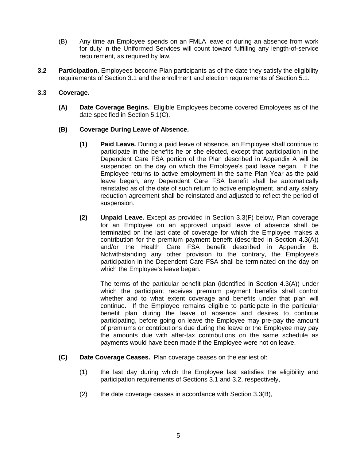- (B) Any time an Employee spends on an FMLA leave or during an absence from work for duty in the Uniformed Services will count toward fulfilling any length-of-service requirement, as required by law.
- **3.2 Participation.** Employees become Plan participants as of the date they satisfy the eligibility requirements of Section 3.1 and the enrollment and election requirements of Section 5.1.

#### **3.3 Coverage.**

**(A) Date Coverage Begins.** Eligible Employees become covered Employees as of the date specified in Section 5.1(C).

#### **(B) Coverage During Leave of Absence.**

- **(1) Paid Leave.** During a paid leave of absence, an Employee shall continue to participate in the benefits he or she elected, except that participation in the Dependent Care FSA portion of the Plan described in Appendix A will be suspended on the day on which the Employee's paid leave began. If the Employee returns to active employment in the same Plan Year as the paid leave began, any Dependent Care FSA benefit shall be automatically reinstated as of the date of such return to active employment, and any salary reduction agreement shall be reinstated and adjusted to reflect the period of suspension.
- **(2) Unpaid Leave.** Except as provided in Section 3.3(F) below, Plan coverage for an Employee on an approved unpaid leave of absence shall be terminated on the last date of coverage for which the Employee makes a contribution for the premium payment benefit (described in Section 4.3(A)) and/or the Health Care FSA benefit described in Appendix B. Notwithstanding any other provision to the contrary, the Employee's participation in the Dependent Care FSA shall be terminated on the day on which the Employee's leave began.

The terms of the particular benefit plan (identified in Section 4.3(A)) under which the participant receives premium payment benefits shall control whether and to what extent coverage and benefits under that plan will continue. If the Employee remains eligible to participate in the particular benefit plan during the leave of absence and desires to continue participating, before going on leave the Employee may pre-pay the amount of premiums or contributions due during the leave or the Employee may pay the amounts due with after-tax contributions on the same schedule as payments would have been made if the Employee were not on leave.

- **(C) Date Coverage Ceases.** Plan coverage ceases on the earliest of:
	- (1) the last day during which the Employee last satisfies the eligibility and participation requirements of Sections 3.1 and 3.2, respectively,
	- (2) the date coverage ceases in accordance with Section 3.3(B),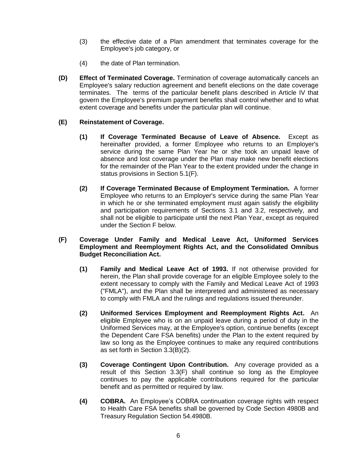- (3) the effective date of a Plan amendment that terminates coverage for the Employee's job category, or
- (4) the date of Plan termination.
- **(D) Effect of Terminated Coverage.** Termination of coverage automatically cancels an Employee's salary reduction agreement and benefit elections on the date coverage terminates. The terms of the particular benefit plans described in Article IV that govern the Employee's premium payment benefits shall control whether and to what extent coverage and benefits under the particular plan will continue.

#### **(E) Reinstatement of Coverage.**

- **(1) If Coverage Terminated Because of Leave of Absence.** Except as hereinafter provided, a former Employee who returns to an Employer's service during the same Plan Year he or she took an unpaid leave of absence and lost coverage under the Plan may make new benefit elections for the remainder of the Plan Year to the extent provided under the change in status provisions in Section 5.1(F).
- **(2) If Coverage Terminated Because of Employment Termination.** A former Employee who returns to an Employer's service during the same Plan Year in which he or she terminated employment must again satisfy the eligibility and participation requirements of Sections 3.1 and 3.2, respectively, and shall not be eligible to participate until the next Plan Year, except as required under the Section F below.

#### **(F) Coverage Under Family and Medical Leave Act, Uniformed Services Employment and Reemployment Rights Act, and the Consolidated Omnibus Budget Reconciliation Act.**

- **(1) Family and Medical Leave Act of 1993.** If not otherwise provided for herein, the Plan shall provide coverage for an eligible Employee solely to the extent necessary to comply with the Family and Medical Leave Act of 1993 ("FMLA"), and the Plan shall be interpreted and administered as necessary to comply with FMLA and the rulings and regulations issued thereunder.
- **(2) Uniformed Services Employment and Reemployment Rights Act.** An eligible Employee who is on an unpaid leave during a period of duty in the Uniformed Services may, at the Employee's option, continue benefits (except the Dependent Care FSA benefits) under the Plan to the extent required by law so long as the Employee continues to make any required contributions as set forth in Section 3.3(B)(2).
- **(3) Coverage Contingent Upon Contribution.** Any coverage provided as a result of this Section 3.3(F) shall continue so long as the Employee continues to pay the applicable contributions required for the particular benefit and as permitted or required by law.
- **(4) COBRA.** An Employee's COBRA continuation coverage rights with respect to Health Care FSA benefits shall be governed by Code Section 4980B and Treasury Regulation Section 54.4980B.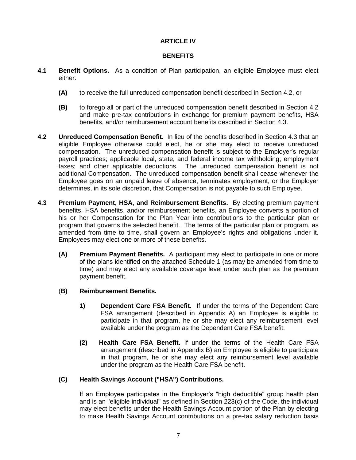### **ARTICLE IV**

#### **BENEFITS**

- **4.1 Benefit Options.** As a condition of Plan participation, an eligible Employee must elect either:
	- **(A)** to receive the full unreduced compensation benefit described in Section 4.2, or
	- **(B)** to forego all or part of the unreduced compensation benefit described in Section 4.2 and make pre-tax contributions in exchange for premium payment benefits, HSA benefits, and/or reimbursement account benefits described in Section 4.3.
- **4.2 Unreduced Compensation Benefit.** In lieu of the benefits described in Section 4.3 that an eligible Employee otherwise could elect, he or she may elect to receive unreduced compensation. The unreduced compensation benefit is subject to the Employer's regular payroll practices; applicable local, state, and federal income tax withholding; employment taxes; and other applicable deductions. The unreduced compensation benefit is not additional Compensation. The unreduced compensation benefit shall cease whenever the Employee goes on an unpaid leave of absence, terminates employment, or the Employer determines, in its sole discretion, that Compensation is not payable to such Employee.
- **4.3 Premium Payment, HSA, and Reimbursement Benefits.** By electing premium payment benefits, HSA benefits, and/or reimbursement benefits, an Employee converts a portion of his or her Compensation for the Plan Year into contributions to the particular plan or program that governs the selected benefit. The terms of the particular plan or program, as amended from time to time, shall govern an Employee's rights and obligations under it. Employees may elect one or more of these benefits.
	- **(A) Premium Payment Benefits.** A participant may elect to participate in one or more of the plans identified on the attached Schedule 1 (as may be amended from time to time) and may elect any available coverage level under such plan as the premium payment benefit.
	- (**B) Reimbursement Benefits.** 
		- **1) Dependent Care FSA Benefit.** If under the terms of the Dependent Care FSA arrangement (described in Appendix A) an Employee is eligible to participate in that program, he or she may elect any reimbursement level available under the program as the Dependent Care FSA benefit.
		- **(2) Health Care FSA Benefit.** If under the terms of the Health Care FSA arrangement (described in Appendix B) an Employee is eligible to participate in that program, he or she may elect any reimbursement level available under the program as the Health Care FSA benefit.

### **(C) Health Savings Account ("HSA") Contributions.**

If an Employee participates in the Employer's "high deductible" group health plan and is an "eligible individual" as defined in Section 223(c) of the Code, the individual may elect benefits under the Health Savings Account portion of the Plan by electing to make Health Savings Account contributions on a pre-tax salary reduction basis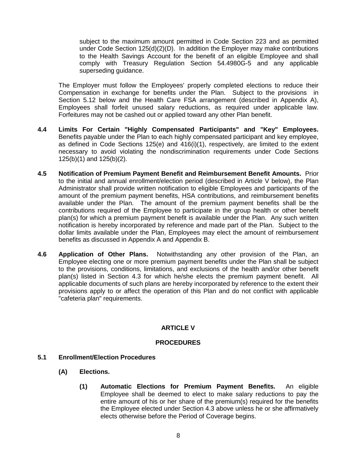subject to the maximum amount permitted in Code Section 223 and as permitted under Code Section 125(d)(2)(D). In addition the Employer may make contributions to the Health Savings Account for the benefit of an eligible Employee and shall comply with Treasury Regulation Section 54.4980G-5 and any applicable superseding guidance.

The Employer must follow the Employees' properly completed elections to reduce their Compensation in exchange for benefits under the Plan. Subject to the provisions in Section 5.12 below and the Health Care FSA arrangement (described in Appendix A), Employees shall forfeit unused salary reductions, as required under applicable law. Forfeitures may not be cashed out or applied toward any other Plan benefit.

- **4.4 Limits For Certain "Highly Compensated Participants" and "Key" Employees.**  Benefits payable under the Plan to each highly compensated participant and key employee, as defined in Code Sections 125(e) and 416(i)(1), respectively, are limited to the extent necessary to avoid violating the nondiscrimination requirements under Code Sections 125(b)(1) and 125(b)(2).
- **4.5 Notification of Premium Payment Benefit and Reimbursement Benefit Amounts.** Prior to the initial and annual enrollment/election period (described in Article V below), the Plan Administrator shall provide written notification to eligible Employees and participants of the amount of the premium payment benefits, HSA contributions, and reimbursement benefits available under the Plan. The amount of the premium payment benefits shall be the contributions required of the Employee to participate in the group health or other benefit plan(s) for which a premium payment benefit is available under the Plan. Any such written notification is hereby incorporated by reference and made part of the Plan. Subject to the dollar limits available under the Plan, Employees may elect the amount of reimbursement benefits as discussed in Appendix A and Appendix B.
- **4.6 Application of Other Plans.** Notwithstanding any other provision of the Plan, an Employee electing one or more premium payment benefits under the Plan shall be subject to the provisions, conditions, limitations, and exclusions of the health and/or other benefit plan(s) listed in Section 4.3 for which he/she elects the premium payment benefit. All applicable documents of such plans are hereby incorporated by reference to the extent their provisions apply to or affect the operation of this Plan and do not conflict with applicable "cafeteria plan" requirements.

#### **ARTICLE V**

#### **PROCEDURES**

#### **5.1 Enrollment/Election Procedures**

- **(A) Elections.**
	- **(1) Automatic Elections for Premium Payment Benefits.** An eligible Employee shall be deemed to elect to make salary reductions to pay the entire amount of his or her share of the premium(s) required for the benefits the Employee elected under Section 4.3 above unless he or she affirmatively elects otherwise before the Period of Coverage begins.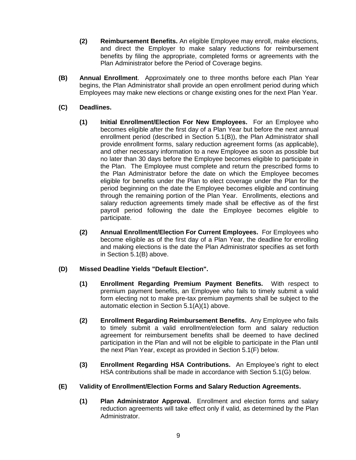- **(2) Reimbursement Benefits.** An eligible Employee may enroll, make elections, and direct the Employer to make salary reductions for reimbursement benefits by filing the appropriate, completed forms or agreements with the Plan Administrator before the Period of Coverage begins.
- **(B) Annual Enrollment**. Approximately one to three months before each Plan Year begins, the Plan Administrator shall provide an open enrollment period during which Employees may make new elections or change existing ones for the next Plan Year.

#### **(C) Deadlines.**

- **(1) Initial Enrollment/Election For New Employees.** For an Employee who becomes eligible after the first day of a Plan Year but before the next annual enrollment period (described in Section 5.1(B)), the Plan Administrator shall provide enrollment forms, salary reduction agreement forms (as applicable), and other necessary information to a new Employee as soon as possible but no later than 30 days before the Employee becomes eligible to participate in the Plan. The Employee must complete and return the prescribed forms to the Plan Administrator before the date on which the Employee becomes eligible for benefits under the Plan to elect coverage under the Plan for the period beginning on the date the Employee becomes eligible and continuing through the remaining portion of the Plan Year. Enrollments, elections and salary reduction agreements timely made shall be effective as of the first payroll period following the date the Employee becomes eligible to participate.
- **(2) Annual Enrollment/Election For Current Employees.** For Employees who become eligible as of the first day of a Plan Year, the deadline for enrolling and making elections is the date the Plan Administrator specifies as set forth in Section 5.1(B) above.

#### **(D) Missed Deadline Yields "Default Election".**

- **(1) Enrollment Regarding Premium Payment Benefits.** With respect to premium payment benefits, an Employee who fails to timely submit a valid form electing not to make pre-tax premium payments shall be subject to the automatic election in Section 5.1(A)(1) above.
- **(2) Enrollment Regarding Reimbursement Benefits.** Any Employee who fails to timely submit a valid enrollment/election form and salary reduction agreement for reimbursement benefits shall be deemed to have declined participation in the Plan and will not be eligible to participate in the Plan until the next Plan Year, except as provided in Section 5.1(F) below.
- **(3) Enrollment Regarding HSA Contributions.** An Employee's right to elect HSA contributions shall be made in accordance with Section 5.1(G) below.

#### **(E) Validity of Enrollment/Election Forms and Salary Reduction Agreements.**

**(1) Plan Administrator Approval.** Enrollment and election forms and salary reduction agreements will take effect only if valid, as determined by the Plan Administrator.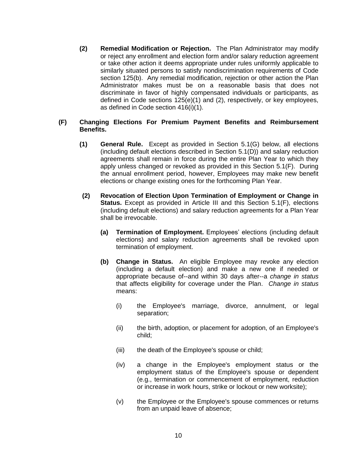**(2) Remedial Modification or Rejection.** The Plan Administrator may modify or reject any enrollment and election form and/or salary reduction agreement or take other action it deems appropriate under rules uniformly applicable to similarly situated persons to satisfy nondiscrimination requirements of Code section 125(b). Any remedial modification, rejection or other action the Plan Administrator makes must be on a reasonable basis that does not discriminate in favor of highly compensated individuals or participants, as defined in Code sections 125(e)(1) and (2), respectively, or key employees, as defined in Code section 416(i)(1).

#### **(F) Changing Elections For Premium Payment Benefits and Reimbursement Benefits.**

- **(1) General Rule.** Except as provided in Section 5.1(G) below, all elections (including default elections described in Section 5.1(D)) and salary reduction agreements shall remain in force during the entire Plan Year to which they apply unless changed or revoked as provided in this Section 5.1(F). During the annual enrollment period, however, Employees may make new benefit elections or change existing ones for the forthcoming Plan Year.
- **(2) Revocation of Election Upon Termination of Employment or Change in Status.** Except as provided in Article III and this Section 5.1(F), elections (including default elections) and salary reduction agreements for a Plan Year shall be irrevocable.
	- **(a) Termination of Employment.** Employees' elections (including default elections) and salary reduction agreements shall be revoked upon termination of employment.
	- **(b) Change in Status.** An eligible Employee may revoke any election (including a default election) and make a new one if needed or appropriate because of--and within 30 days after--a *change in status* that affects eligibility for coverage under the Plan. *Change in status* means:
		- (i) the Employee's marriage, divorce, annulment, or legal separation;
		- (ii) the birth, adoption, or placement for adoption, of an Employee's child;
		- (iii) the death of the Employee's spouse or child;
		- (iv) a change in the Employee's employment status or the employment status of the Employee's spouse or dependent (e.g., termination or commencement of employment, reduction or increase in work hours, strike or lockout or new worksite);
		- (v) the Employee or the Employee's spouse commences or returns from an unpaid leave of absence;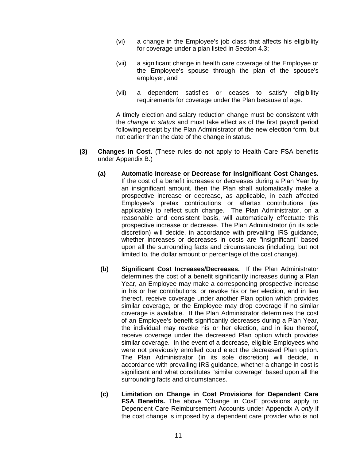- (vi) a change in the Employee's job class that affects his eligibility for coverage under a plan listed in Section 4.3;
- (vii) a significant change in health care coverage of the Employee or the Employee's spouse through the plan of the spouse's employer, and
- (vii) a dependent satisfies or ceases to satisfy eligibility requirements for coverage under the Plan because of age.

A timely election and salary reduction change must be consistent with the *change in status* and must take effect as of the first payroll period following receipt by the Plan Administrator of the new election form, but not earlier than the date of the change in status.

- **(3) Changes in Cost.** (These rules do not apply to Health Care FSA benefits under Appendix B.)
	- **(a) Automatic Increase or Decrease for Insignificant Cost Changes.** If the cost of a benefit increases or decreases during a Plan Year by an insignificant amount, then the Plan shall automatically make a prospective increase or decrease, as applicable, in each affected Employee's pretax contributions or aftertax contributions (as applicable) to reflect such change. The Plan Administrator, on a reasonable and consistent basis, will automatically effectuate this prospective increase or decrease. The Plan Administrator (in its sole discretion) will decide, in accordance with prevailing IRS guidance, whether increases or decreases in costs are "insignificant" based upon all the surrounding facts and circumstances (including, but not limited to, the dollar amount or percentage of the cost change).
	- **(b) Significant Cost Increases/Decreases.** If the Plan Administrator determines the cost of a benefit significantly increases during a Plan Year, an Employee may make a corresponding prospective increase in his or her contributions, or revoke his or her election, and in lieu thereof, receive coverage under another Plan option which provides similar coverage, or the Employee may drop coverage if no similar coverage is available. If the Plan Administrator determines the cost of an Employee's benefit significantly decreases during a Plan Year, the individual may revoke his or her election, and in lieu thereof, receive coverage under the decreased Plan option which provides similar coverage. In the event of a decrease, eligible Employees who were not previously enrolled could elect the decreased Plan option. The Plan Administrator (in its sole discretion) will decide, in accordance with prevailing IRS guidance, whether a change in cost is significant and what constitutes "similar coverage" based upon all the surrounding facts and circumstances.
	- **(c) Limitation on Change in Cost Provisions for Dependent Care FSA Benefits.** The above "Change in Cost" provisions apply to Dependent Care Reimbursement Accounts under Appendix A *only* if the cost change is imposed by a dependent care provider who is not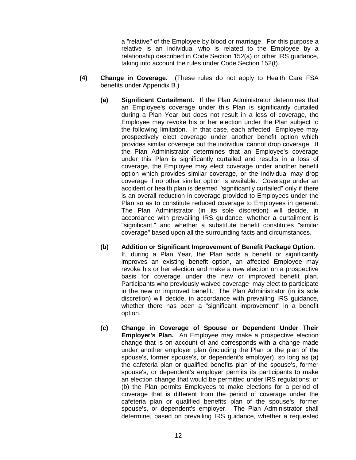a "relative" of the Employee by blood or marriage. For this purpose a relative is an individual who is related to the Employee by a relationship described in Code Section 152(a) or other IRS guidance, taking into account the rules under Code Section 152(f).

- **(4) Change in Coverage.** (These rules do not apply to Health Care FSA benefits under Appendix B.)
	- **(a) Significant Curtailment.** If the Plan Administrator determines that an Employee's coverage under this Plan is significantly curtailed during a Plan Year but does not result in a loss of coverage, the Employee may revoke his or her election under the Plan subject to the following limitation. In that case, each affected Employee may prospectively elect coverage under another benefit option which provides similar coverage but the individual cannot drop coverage. If the Plan Administrator determines that an Employee's coverage under this Plan is significantly curtailed and results in a loss of coverage, the Employee may elect coverage under another benefit option which provides similar coverage, or the individual may drop coverage if no other similar option is available. Coverage under an accident or health plan is deemed "significantly curtailed" only if there is an overall reduction in coverage provided to Employees under the Plan so as to constitute reduced coverage to Employees in general. The Plan Administrator (in its sole discretion) will decide, in accordance with prevailing IRS guidance, whether a curtailment is "significant," and whether a substitute benefit constitutes "similar coverage" based upon all the surrounding facts and circumstances.
	- **(b) Addition or Significant Improvement of Benefit Package Option.**  If, during a Plan Year, the Plan adds a benefit or significantly improves an existing benefit option, an affected Employee may revoke his or her election and make a new election on a prospective basis for coverage under the new or improved benefit plan. Participants who previously waived coverage may elect to participate in the new or improved benefit. The Plan Administrator (in its sole discretion) will decide, in accordance with prevailing IRS guidance, whether there has been a "significant improvement" in a benefit option.
	- **(c) Change in Coverage of Spouse or Dependent Under Their Employer's Plan.** An Employee may make a prospective election change that is on account of and corresponds with a change made under another employer plan (including the Plan or the plan of the spouse's, former spouse's, or dependent's employer), so long as (a) the cafeteria plan or qualified benefits plan of the spouse's, former spouse's, or dependent's employer permits its participants to make an election change that would be permitted under IRS regulations; or (b) the Plan permits Employees to make elections for a period of coverage that is different from the period of coverage under the cafeteria plan or qualified benefits plan of the spouse's, former spouse's, or dependent's employer. The Plan Administrator shall determine, based on prevailing IRS guidance, whether a requested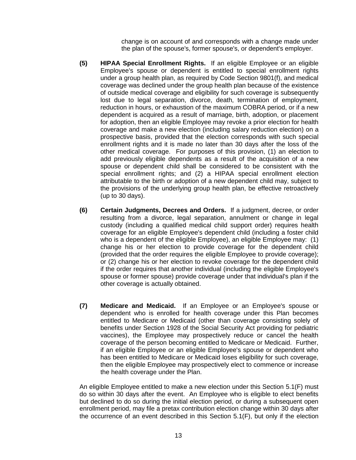change is on account of and corresponds with a change made under the plan of the spouse's, former spouse's, or dependent's employer.

- **(5) HIPAA Special Enrollment Rights.** If an eligible Employee or an eligible Employee's spouse or dependent is entitled to special enrollment rights under a group health plan, as required by Code Section 9801(f), and medical coverage was declined under the group health plan because of the existence of outside medical coverage and eligibility for such coverage is subsequently lost due to legal separation, divorce, death, termination of employment, reduction in hours, or exhaustion of the maximum COBRA period, or if a new dependent is acquired as a result of marriage, birth, adoption, or placement for adoption, then an eligible Employee may revoke a prior election for health coverage and make a new election (including salary reduction election) on a prospective basis, provided that the election corresponds with such special enrollment rights and it is made no later than 30 days after the loss of the other medical coverage. For purposes of this provision, (1) an election to add previously eligible dependents as a result of the acquisition of a new spouse or dependent child shall be considered to be consistent with the special enrollment rights; and (2) a HIPAA special enrollment election attributable to the birth or adoption of a new dependent child may, subject to the provisions of the underlying group health plan, be effective retroactively (up to 30 days).
- **(6) Certain Judgments, Decrees and Orders.** If a judgment, decree, or order resulting from a divorce, legal separation, annulment or change in legal custody (including a qualified medical child support order) requires health coverage for an eligible Employee's dependent child (including a foster child who is a dependent of the eligible Employee), an eligible Employee may: (1) change his or her election to provide coverage for the dependent child (provided that the order requires the eligible Employee to provide coverage); or (2) change his or her election to revoke coverage for the dependent child if the order requires that another individual (including the eligible Employee's spouse or former spouse) provide coverage under that individual's plan if the other coverage is actually obtained.
- **(7) Medicare and Medicaid.** If an Employee or an Employee's spouse or dependent who is enrolled for health coverage under this Plan becomes entitled to Medicare or Medicaid (other than coverage consisting solely of benefits under Section 1928 of the Social Security Act providing for pediatric vaccines), the Employee may prospectively reduce or cancel the health coverage of the person becoming entitled to Medicare or Medicaid. Further, if an eligible Employee or an eligible Employee's spouse or dependent who has been entitled to Medicare or Medicaid loses eligibility for such coverage, then the eligible Employee may prospectively elect to commence or increase the health coverage under the Plan.

An eligible Employee entitled to make a new election under this Section 5.1(F) must do so within 30 days after the event. An Employee who is eligible to elect benefits but declined to do so during the initial election period, or during a subsequent open enrollment period, may file a pretax contribution election change within 30 days after the occurrence of an event described in this Section 5.1(F), but only if the election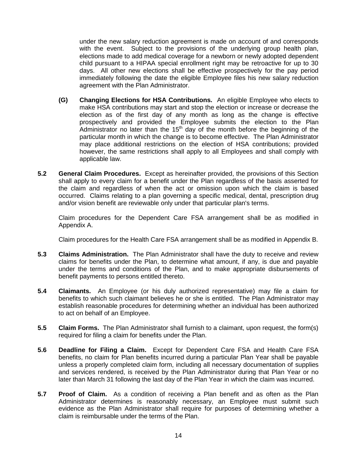under the new salary reduction agreement is made on account of and corresponds with the event. Subject to the provisions of the underlying group health plan, elections made to add medical coverage for a newborn or newly adopted dependent child pursuant to a HIPAA special enrollment right may be retroactive for up to 30 days. All other new elections shall be effective prospectively for the pay period immediately following the date the eligible Employee files his new salary reduction agreement with the Plan Administrator.

- **(G) Changing Elections for HSA Contributions.** An eligible Employee who elects to make HSA contributions may start and stop the election or increase or decrease the election as of the first day of any month as long as the change is effective prospectively and provided the Employee submits the election to the Plan Administrator no later than the  $15<sup>th</sup>$  day of the month before the beginning of the particular month in which the change is to become effective. The Plan Administrator may place additional restrictions on the election of HSA contributions; provided however, the same restrictions shall apply to all Employees and shall comply with applicable law.
- **5.2 General Claim Procedures.** Except as hereinafter provided, the provisions of this Section shall apply to every claim for a benefit under the Plan regardless of the basis asserted for the claim and regardless of when the act or omission upon which the claim is based occurred. Claims relating to a plan governing a specific medical, dental, prescription drug and/or vision benefit are reviewable only under that particular plan's terms.

Claim procedures for the Dependent Care FSA arrangement shall be as modified in Appendix A.

Claim procedures for the Health Care FSA arrangement shall be as modified in Appendix B.

- **5.3 Claims Administration.** The Plan Administrator shall have the duty to receive and review claims for benefits under the Plan, to determine what amount, if any, is due and payable under the terms and conditions of the Plan, and to make appropriate disbursements of benefit payments to persons entitled thereto.
- **5.4 Claimants.** An Employee (or his duly authorized representative) may file a claim for benefits to which such claimant believes he or she is entitled. The Plan Administrator may establish reasonable procedures for determining whether an individual has been authorized to act on behalf of an Employee.
- **5.5 Claim Forms.** The Plan Administrator shall furnish to a claimant, upon request, the form(s) required for filing a claim for benefits under the Plan.
- **5.6 Deadline for Filing a Claim.** Except for Dependent Care FSA and Health Care FSA benefits, no claim for Plan benefits incurred during a particular Plan Year shall be payable unless a properly completed claim form, including all necessary documentation of supplies and services rendered, is received by the Plan Administrator during that Plan Year or no later than March 31 following the last day of the Plan Year in which the claim was incurred.
- **5.7 Proof of Claim.** As a condition of receiving a Plan benefit and as often as the Plan Administrator determines is reasonably necessary, an Employee must submit such evidence as the Plan Administrator shall require for purposes of determining whether a claim is reimbursable under the terms of the Plan.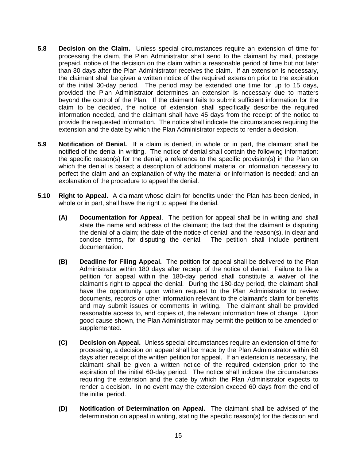- **5.8 Decision on the Claim.** Unless special circumstances require an extension of time for processing the claim, the Plan Administrator shall send to the claimant by mail, postage prepaid, notice of the decision on the claim within a reasonable period of time but not later than 30 days after the Plan Administrator receives the claim. If an extension is necessary, the claimant shall be given a written notice of the required extension prior to the expiration of the initial 30-day period. The period may be extended one time for up to 15 days, provided the Plan Administrator determines an extension is necessary due to matters beyond the control of the Plan. If the claimant fails to submit sufficient information for the claim to be decided, the notice of extension shall specifically describe the required information needed, and the claimant shall have 45 days from the receipt of the notice to provide the requested information. The notice shall indicate the circumstances requiring the extension and the date by which the Plan Administrator expects to render a decision.
- **5.9 Notification of Denial.** If a claim is denied, in whole or in part, the claimant shall be notified of the denial in writing. The notice of denial shall contain the following information: the specific reason(s) for the denial; a reference to the specific provision(s) in the Plan on which the denial is based; a description of additional material or information necessary to perfect the claim and an explanation of why the material or information is needed; and an explanation of the procedure to appeal the denial.
- **5.10 Right to Appeal.** A claimant whose claim for benefits under the Plan has been denied, in whole or in part, shall have the right to appeal the denial.
	- **(A) Documentation for Appeal**. The petition for appeal shall be in writing and shall state the name and address of the claimant; the fact that the claimant is disputing the denial of a claim; the date of the notice of denial; and the reason(s), in clear and concise terms, for disputing the denial. The petition shall include pertinent documentation.
	- **(B) Deadline for Filing Appeal.** The petition for appeal shall be delivered to the Plan Administrator within 180 days after receipt of the notice of denial. Failure to file a petition for appeal within the 180-day period shall constitute a waiver of the claimant's right to appeal the denial. During the 180-day period, the claimant shall have the opportunity upon written request to the Plan Administrator to review documents, records or other information relevant to the claimant's claim for benefits and may submit issues or comments in writing. The claimant shall be provided reasonable access to, and copies of, the relevant information free of charge. Upon good cause shown, the Plan Administrator may permit the petition to be amended or supplemented.
	- **(C) Decision on Appeal.** Unless special circumstances require an extension of time for processing, a decision on appeal shall be made by the Plan Administrator within 60 days after receipt of the written petition for appeal. If an extension is necessary, the claimant shall be given a written notice of the required extension prior to the expiration of the initial 60-day period. The notice shall indicate the circumstances requiring the extension and the date by which the Plan Administrator expects to render a decision. In no event may the extension exceed 60 days from the end of the initial period.
	- **(D) Notification of Determination on Appeal.** The claimant shall be advised of the determination on appeal in writing, stating the specific reason(s) for the decision and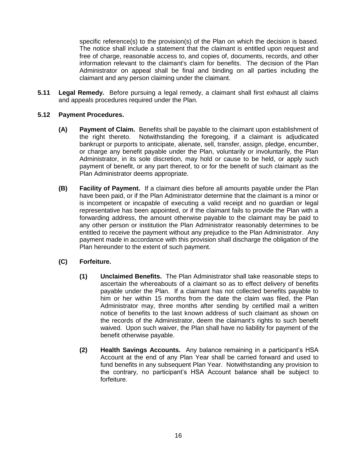specific reference(s) to the provision(s) of the Plan on which the decision is based. The notice shall include a statement that the claimant is entitled upon request and free of charge, reasonable access to, and copies of, documents, records, and other information relevant to the claimant's claim for benefits. The decision of the Plan Administrator on appeal shall be final and binding on all parties including the claimant and any person claiming under the claimant.

**5.11 Legal Remedy.** Before pursuing a legal remedy, a claimant shall first exhaust all claims and appeals procedures required under the Plan.

#### **5.12 Payment Procedures.**

- **(A) Payment of Claim.** Benefits shall be payable to the claimant upon establishment of the right thereto. Notwithstanding the foregoing, if a claimant is adjudicated bankrupt or purports to anticipate, alienate, sell, transfer, assign, pledge, encumber, or charge any benefit payable under the Plan, voluntarily or involuntarily, the Plan Administrator, in its sole discretion, may hold or cause to be held, or apply such payment of benefit, or any part thereof, to or for the benefit of such claimant as the Plan Administrator deems appropriate.
- **(B) Facility of Payment.** If a claimant dies before all amounts payable under the Plan have been paid, or if the Plan Administrator determine that the claimant is a minor or is incompetent or incapable of executing a valid receipt and no guardian or legal representative has been appointed, or if the claimant fails to provide the Plan with a forwarding address, the amount otherwise payable to the claimant may be paid to any other person or institution the Plan Administrator reasonably determines to be entitled to receive the payment without any prejudice to the Plan Administrator. Any payment made in accordance with this provision shall discharge the obligation of the Plan hereunder to the extent of such payment.

#### **(C) Forfeiture.**

- **(1) Unclaimed Benefits.** The Plan Administrator shall take reasonable steps to ascertain the whereabouts of a claimant so as to effect delivery of benefits payable under the Plan. If a claimant has not collected benefits payable to him or her within 15 months from the date the claim was filed, the Plan Administrator may, three months after sending by certified mail a written notice of benefits to the last known address of such claimant as shown on the records of the Administrator, deem the claimant's rights to such benefit waived. Upon such waiver, the Plan shall have no liability for payment of the benefit otherwise payable.
- **(2) Health Savings Accounts.** Any balance remaining in a participant's HSA Account at the end of any Plan Year shall be carried forward and used to fund benefits in any subsequent Plan Year. Notwithstanding any provision to the contrary, no participant's HSA Account balance shall be subject to forfeiture.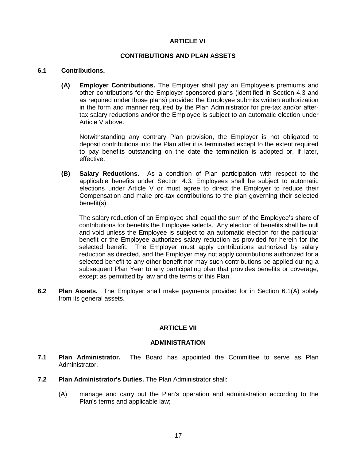#### **ARTICLE VI**

#### **CONTRIBUTIONS AND PLAN ASSETS**

#### **6.1 Contributions.**

**(A) Employer Contributions.** The Employer shall pay an Employee's premiums and other contributions for the Employer-sponsored plans (identified in Section 4.3 and as required under those plans) provided the Employee submits written authorization in the form and manner required by the Plan Administrator for pre-tax and/or aftertax salary reductions and/or the Employee is subject to an automatic election under Article V above.

Notwithstanding any contrary Plan provision, the Employer is not obligated to deposit contributions into the Plan after it is terminated except to the extent required to pay benefits outstanding on the date the termination is adopted or, if later, effective.

**(B) Salary Reductions**. As a condition of Plan participation with respect to the applicable benefits under Section 4.3, Employees shall be subject to automatic elections under Article V or must agree to direct the Employer to reduce their Compensation and make pre-tax contributions to the plan governing their selected benefit(s).

The salary reduction of an Employee shall equal the sum of the Employee's share of contributions for benefits the Employee selects. Any election of benefits shall be null and void unless the Employee is subject to an automatic election for the particular benefit or the Employee authorizes salary reduction as provided for herein for the selected benefit. The Employer must apply contributions authorized by salary reduction as directed, and the Employer may not apply contributions authorized for a selected benefit to any other benefit nor may such contributions be applied during a subsequent Plan Year to any participating plan that provides benefits or coverage, except as permitted by law and the terms of this Plan.

**6.2 Plan Assets.** The Employer shall make payments provided for in Section 6.1(A) solely from its general assets.

#### **ARTICLE VII**

#### **ADMINISTRATION**

- **7.1 Plan Administrator.** The Board has appointed the Committee to serve as Plan Administrator.
- **7.2 Plan Administrator's Duties.** The Plan Administrator shall:
	- (A) manage and carry out the Plan's operation and administration according to the Plan's terms and applicable law;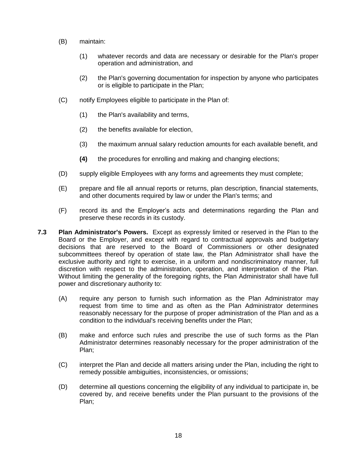- (B) maintain:
	- (1) whatever records and data are necessary or desirable for the Plan's proper operation and administration, and
	- (2) the Plan's governing documentation for inspection by anyone who participates or is eligible to participate in the Plan;
- (C) notify Employees eligible to participate in the Plan of:
	- (1) the Plan's availability and terms,
	- (2) the benefits available for election,
	- (3) the maximum annual salary reduction amounts for each available benefit, and
	- **(4)** the procedures for enrolling and making and changing elections;
- (D) supply eligible Employees with any forms and agreements they must complete;
- (E) prepare and file all annual reports or returns, plan description, financial statements, and other documents required by law or under the Plan's terms; and
- (F) record its and the Employer's acts and determinations regarding the Plan and preserve these records in its custody.
- **7.3 Plan Administrator's Powers.** Except as expressly limited or reserved in the Plan to the Board or the Employer, and except with regard to contractual approvals and budgetary decisions that are reserved to the Board of Commissioners or other designated subcommittees thereof by operation of state law, the Plan Administrator shall have the exclusive authority and right to exercise, in a uniform and nondiscriminatory manner, full discretion with respect to the administration, operation, and interpretation of the Plan. Without limiting the generality of the foregoing rights, the Plan Administrator shall have full power and discretionary authority to:
	- (A) require any person to furnish such information as the Plan Administrator may request from time to time and as often as the Plan Administrator determines reasonably necessary for the purpose of proper administration of the Plan and as a condition to the individual's receiving benefits under the Plan;
	- (B) make and enforce such rules and prescribe the use of such forms as the Plan Administrator determines reasonably necessary for the proper administration of the Plan;
	- (C) interpret the Plan and decide all matters arising under the Plan, including the right to remedy possible ambiguities, inconsistencies, or omissions;
	- (D) determine all questions concerning the eligibility of any individual to participate in, be covered by, and receive benefits under the Plan pursuant to the provisions of the Plan;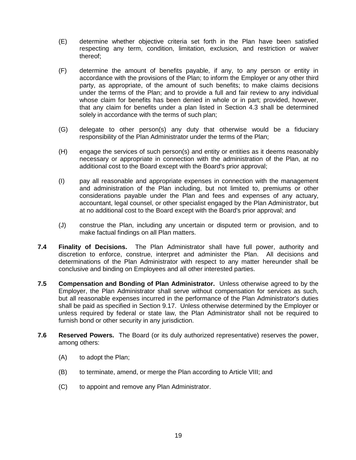- (E) determine whether objective criteria set forth in the Plan have been satisfied respecting any term, condition, limitation, exclusion, and restriction or waiver thereof;
- (F) determine the amount of benefits payable, if any, to any person or entity in accordance with the provisions of the Plan; to inform the Employer or any other third party, as appropriate, of the amount of such benefits; to make claims decisions under the terms of the Plan; and to provide a full and fair review to any individual whose claim for benefits has been denied in whole or in part; provided, however, that any claim for benefits under a plan listed in Section 4.3 shall be determined solely in accordance with the terms of such plan;
- (G) delegate to other person(s) any duty that otherwise would be a fiduciary responsibility of the Plan Administrator under the terms of the Plan;
- (H) engage the services of such person(s) and entity or entities as it deems reasonably necessary or appropriate in connection with the administration of the Plan, at no additional cost to the Board except with the Board's prior approval;
- (I) pay all reasonable and appropriate expenses in connection with the management and administration of the Plan including, but not limited to, premiums or other considerations payable under the Plan and fees and expenses of any actuary, accountant, legal counsel, or other specialist engaged by the Plan Administrator, but at no additional cost to the Board except with the Board's prior approval; and
- (J) construe the Plan, including any uncertain or disputed term or provision, and to make factual findings on all Plan matters.
- **7.4 Finality of Decisions.** The Plan Administrator shall have full power, authority and discretion to enforce, construe, interpret and administer the Plan. All decisions and determinations of the Plan Administrator with respect to any matter hereunder shall be conclusive and binding on Employees and all other interested parties.
- **7.5 Compensation and Bonding of Plan Administrator.** Unless otherwise agreed to by the Employer, the Plan Administrator shall serve without compensation for services as such, but all reasonable expenses incurred in the performance of the Plan Administrator's duties shall be paid as specified in Section 9.17. Unless otherwise determined by the Employer or unless required by federal or state law, the Plan Administrator shall not be required to furnish bond or other security in any jurisdiction.
- **7.6 Reserved Powers.** The Board (or its duly authorized representative) reserves the power, among others:
	- (A) to adopt the Plan;
	- (B) to terminate, amend, or merge the Plan according to Article VIII; and
	- (C) to appoint and remove any Plan Administrator.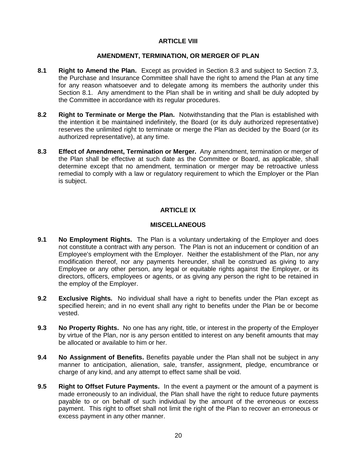#### **ARTICLE VIII**

#### **AMENDMENT, TERMINATION, OR MERGER OF PLAN**

- **8.1 Right to Amend the Plan.** Except as provided in Section 8.3 and subject to Section 7.3, the Purchase and Insurance Committee shall have the right to amend the Plan at any time for any reason whatsoever and to delegate among its members the authority under this Section 8.1. Any amendment to the Plan shall be in writing and shall be duly adopted by the Committee in accordance with its regular procedures.
- **8.2 Right to Terminate or Merge the Plan.** Notwithstanding that the Plan is established with the intention it be maintained indefinitely, the Board (or its duly authorized representative) reserves the unlimited right to terminate or merge the Plan as decided by the Board (or its authorized representative), at any time.
- **8.3 Effect of Amendment, Termination or Merger.** Any amendment, termination or merger of the Plan shall be effective at such date as the Committee or Board, as applicable, shall determine except that no amendment, termination or merger may be retroactive unless remedial to comply with a law or regulatory requirement to which the Employer or the Plan is subject.

#### **ARTICLE IX**

#### **MISCELLANEOUS**

- **9.1 No Employment Rights.** The Plan is a voluntary undertaking of the Employer and does not constitute a contract with any person. The Plan is not an inducement or condition of an Employee's employment with the Employer. Neither the establishment of the Plan, nor any modification thereof, nor any payments hereunder, shall be construed as giving to any Employee or any other person, any legal or equitable rights against the Employer, or its directors, officers, employees or agents, or as giving any person the right to be retained in the employ of the Employer.
- **9.2 Exclusive Rights.** No individual shall have a right to benefits under the Plan except as specified herein; and in no event shall any right to benefits under the Plan be or become vested.
- **9.3 No Property Rights.** No one has any right, title, or interest in the property of the Employer by virtue of the Plan, nor is any person entitled to interest on any benefit amounts that may be allocated or available to him or her.
- **9.4 No Assignment of Benefits.** Benefits payable under the Plan shall not be subject in any manner to anticipation, alienation, sale, transfer, assignment, pledge, encumbrance or charge of any kind, and any attempt to effect same shall be void.
- **9.5 Right to Offset Future Payments.** In the event a payment or the amount of a payment is made erroneously to an individual, the Plan shall have the right to reduce future payments payable to or on behalf of such individual by the amount of the erroneous or excess payment. This right to offset shall not limit the right of the Plan to recover an erroneous or excess payment in any other manner.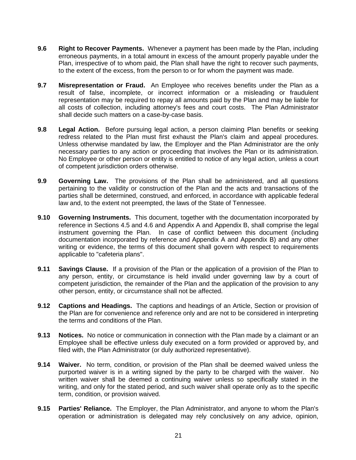- **9.6 Right to Recover Payments.** Whenever a payment has been made by the Plan, including erroneous payments, in a total amount in excess of the amount properly payable under the Plan, irrespective of to whom paid, the Plan shall have the right to recover such payments, to the extent of the excess, from the person to or for whom the payment was made.
- **9.7 Misrepresentation or Fraud.** An Employee who receives benefits under the Plan as a result of false, incomplete, or incorrect information or a misleading or fraudulent representation may be required to repay all amounts paid by the Plan and may be liable for all costs of collection, including attorney's fees and court costs. The Plan Administrator shall decide such matters on a case-by-case basis.
- **9.8 Legal Action.** Before pursuing legal action, a person claiming Plan benefits or seeking redress related to the Plan must first exhaust the Plan's claim and appeal procedures. Unless otherwise mandated by law, the Employer and the Plan Administrator are the only necessary parties to any action or proceeding that involves the Plan or its administration. No Employee or other person or entity is entitled to notice of any legal action, unless a court of competent jurisdiction orders otherwise.
- **9.9 Governing Law.** The provisions of the Plan shall be administered, and all questions pertaining to the validity or construction of the Plan and the acts and transactions of the parties shall be determined, construed, and enforced, in accordance with applicable federal law and, to the extent not preempted, the laws of the State of Tennessee.
- **9.10 Governing Instruments.** This document, together with the documentation incorporated by reference in Sections 4.5 and 4.6 and Appendix A and Appendix B, shall comprise the legal instrument governing the Plan. In case of conflict between this document (including documentation incorporated by reference and Appendix A and Appendix B) and any other writing or evidence, the terms of this document shall govern with respect to requirements applicable to "cafeteria plans".
- **9.11 Savings Clause.** If a provision of the Plan or the application of a provision of the Plan to any person, entity, or circumstance is held invalid under governing law by a court of competent jurisdiction, the remainder of the Plan and the application of the provision to any other person, entity, or circumstance shall not be affected.
- **9.12 Captions and Headings.** The captions and headings of an Article, Section or provision of the Plan are for convenience and reference only and are not to be considered in interpreting the terms and conditions of the Plan.
- **9.13 Notices.** No notice or communication in connection with the Plan made by a claimant or an Employee shall be effective unless duly executed on a form provided or approved by, and filed with, the Plan Administrator (or duly authorized representative).
- **9.14 Waiver.** No term, condition, or provision of the Plan shall be deemed waived unless the purported waiver is in a writing signed by the party to be charged with the waiver. No written waiver shall be deemed a continuing waiver unless so specifically stated in the writing, and only for the stated period, and such waiver shall operate only as to the specific term, condition, or provision waived.
- **9.15 Parties' Reliance.** The Employer, the Plan Administrator, and anyone to whom the Plan's operation or administration is delegated may rely conclusively on any advice, opinion,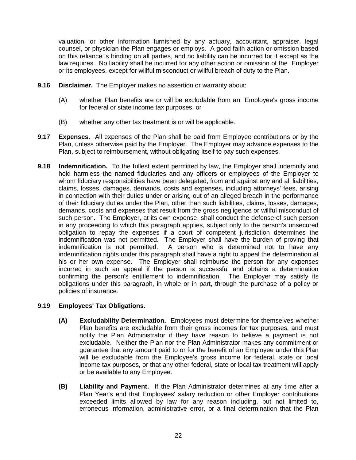valuation, or other information furnished by any actuary, accountant, appraiser, legal counsel, or physician the Plan engages or employs. A good faith action or omission based on this reliance is binding on all parties, and no liability can be incurred for it except as the law requires. No liability shall be incurred for any other action or omission of the Employer or its employees, except for willful misconduct or willful breach of duty to the Plan.

- **9.16 Disclaimer.** The Employer makes no assertion or warranty about:
	- (A) whether Plan benefits are or will be excludable from an Employee's gross income for federal or state income tax purposes, or
	- (B) whether any other tax treatment is or will be applicable.
- **9.17 Expenses.** All expenses of the Plan shall be paid from Employee contributions or by the Plan, unless otherwise paid by the Employer. The Employer may advance expenses to the Plan, subject to reimbursement, without obligating itself to pay such expenses.
- **9.18 Indemnification.** To the fullest extent permitted by law, the Employer shall indemnify and hold harmless the named fiduciaries and any officers or employees of the Employer to whom fiduciary responsibilities have been delegated, from and against any and all liabilities, claims, losses, damages, demands, costs and expenses, including attorneys' fees, arising in connection with their duties under or arising out of an alleged breach in the performance of their fiduciary duties under the Plan, other than such liabilities, claims, losses, damages, demands, costs and expenses that result from the gross negligence or willful misconduct of such person. The Employer, at its own expense, shall conduct the defense of such person in any proceeding to which this paragraph applies, subject only to the person's unsecured obligation to repay the expenses if a court of competent jurisdiction determines the indemnification was not permitted. The Employer shall have the burden of proving that indemnification is not permitted. A person who is determined not to have any indemnification rights under this paragraph shall have a right to appeal the determination at his or her own expense. The Employer shall reimburse the person for any expenses incurred in such an appeal if the person is successful and obtains a determination confirming the person's entitlement to indemnification. The Employer may satisfy its obligations under this paragraph, in whole or in part, through the purchase of a policy or policies of insurance.

#### **9.19 Employees' Tax Obligations.**

- **(A) Excludability Determination.** Employees must determine for themselves whether Plan benefits are excludable from their gross incomes for tax purposes, and must notify the Plan Administrator if they have reason to believe a payment is not excludable. Neither the Plan nor the Plan Administrator makes any commitment or guarantee that any amount paid to or for the benefit of an Employee under this Plan will be excludable from the Employee's gross income for federal, state or local income tax purposes, or that any other federal, state or local tax treatment will apply or be available to any Employee.
- **(B) Liability and Payment.** If the Plan Administrator determines at any time after a Plan Year's end that Employees' salary reduction or other Employer contributions exceeded limits allowed by law for any reason including, but not limited to, erroneous information, administrative error, or a final determination that the Plan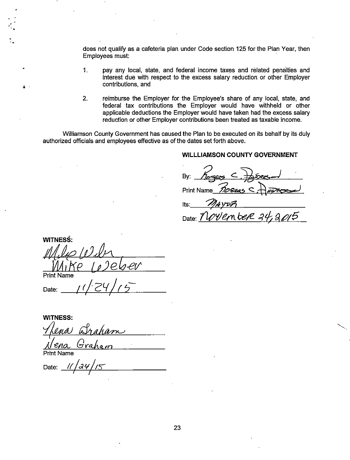does not qualify as a cafeteria plan under Code section 125 for the Plan Year, then Employees must:

- $1.$ pay any local, state, and federal income taxes and related penalties and interest due with respect to the excess salary reduction or other Employer contributions, and
- $2.$ reimburse the Employer for the Employee's share of any local, state, and federal tax contributions the Employer would have withheld or other applicable deductions the Employer would have taken had the excess salary reduction or other Employer contributions been treated as taxable income.

Williamson County Government has caused the Plan to be executed on its behalf by its duly authorized officials and employees effective as of the dates set forth above.

#### **WILLLIAMSON COUNTY GOVERNMENT**

Bv: Print Name  $\hat{\mathcal{D}}$ Seas  $\subset$ 

Its: ryembere zi Date:  $\sqrt{ }$ 

**WITNESS: Print Name** Date:

G.

**WITNESS:** Graham **Print Name** 

Date:  $\frac{1}{2}$